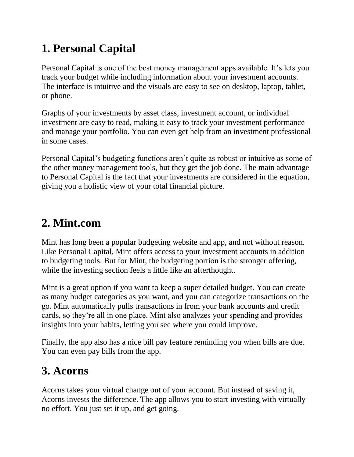## **1. Personal Capital**

[Personal Capital](https://www.doughroller.net/go.php?id=Personal_Capital) is one of the best money management apps available. It's lets you track your budget while including information about your investment accounts. The interface is intuitive and the visuals are easy to see on desktop, laptop, tablet, or phone.

Graphs of your investments by asset class, investment account, or individual investment are easy to read, making it easy to track your investment performance and manage your portfolio. You can even get help from an investment professional in some cases.

Personal Capital's budgeting functions aren't quite as robust or intuitive as some of the other money management tools, but they get the job done. The [main advantage](https://www.doughroller.net/investing/personal-capital-review/)  [to Personal Capital](https://www.doughroller.net/investing/personal-capital-review/) is the fact that your investments are considered in the equation, giving you a holistic view of your total financial picture.

#### **2. Mint.com**

[Mint](https://www.doughroller.net/money-management/a-review-of-mint-com-online-budget-tool/) has long been a popular budgeting website and app, and not without reason. Like Personal Capital, Mint offers access to your investment accounts in addition to budgeting tools. But for Mint, the budgeting portion is the stronger offering, while the investing section feels a little like an afterthought.

Mint is a great option if you want to keep a super detailed budget. You can create as many budget categories as you want, and you can categorize transactions on the go. Mint automatically pulls transactions in from your bank accounts and credit cards, so they're all in one place. Mint also analyzes your spending and provides insights into your habits, letting you see where you could improve.

Finally, the app also has a nice bill pay feature reminding you when bills are due. You can even pay bills from the app.

## **3. Acorns**

[Acorns](https://www.doughroller.net/go.php?id=Acorns) takes your virtual change out of your account. But instead of saving it, Acorns invests the difference. The app allows you to start investing with virtually no effort. You just set it up, and get going.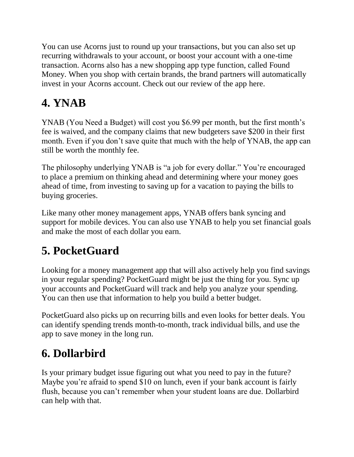You can use Acorns just to round up your transactions, but you can also set up recurring withdrawals to your account, or boost your account with a one-time transaction. Acorns also has a new shopping app type function, called Found Money. When you shop with certain brands, the brand partners will automatically invest in your Acorns account. Check out our review of the app [here.](https://www.doughroller.net/investing/acorns-review-how-to-nickel-and-dime-your-way-to-wealth/)

# **4. YNAB**

[YNAB](https://www.youneedabudget.com/) (You Need a Budget) will cost you \$6.99 per month, but the first month's fee is waived, and the company claims that new budgeters save \$200 in their first month. Even if you don't save quite that much with the help of YNAB, the app can still be worth the monthly fee.

The philosophy underlying YNAB is "a job for every dollar." You're encouraged to place a premium on thinking ahead and determining where your money goes ahead of time, from investing to saving up for a vacation to paying the bills to buying groceries.

Like many other money management apps, YNAB offers bank syncing and support for mobile devices. You can also use YNAB to help you set financial goals and make the most of each dollar you earn.

## **5. PocketGuard**

Looking for a money management app that will also actively help you find savings in your regular spending? [PocketGuard](https://pocketguard.com/) might be just the thing for you. Sync up your accounts and PocketGuard will track and help you analyze your spending. You can then use that information to help you build a better budget.

PocketGuard also picks up on recurring bills and even looks for better deals. You can identify spending trends month-to-month, track individual bills, and use the app to save money in the long run.

## **6. Dollarbird**

Is your primary budget issue figuring out what you need to pay in the future? Maybe you're afraid to spend \$10 on lunch, even if your bank account is fairly flush, because you can't remember when your student loans are due. [Dollarbird](https://www.doughroller.net/money-management/dollarbird-review/) can help with that.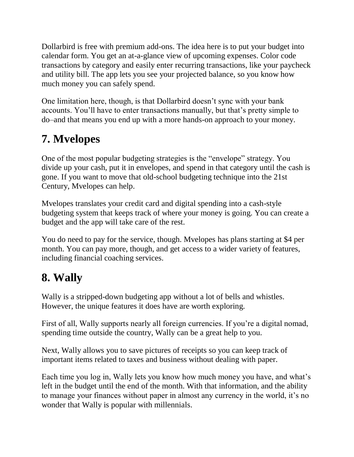Dollarbird is free with premium add-ons. The idea here is to put your budget into calendar form. You get an at-a-glance view of upcoming expenses. Color code transactions by category and easily enter recurring transactions, like your paycheck and utility bill. The app lets you see your projected balance, so you know how much money you can safely spend.

One limitation here, though, is that Dollarbird doesn't sync with your bank accounts. You'll have to enter transactions manually, but that's pretty simple to do–and that means you end up with a more hands-on approach to your money.

#### **7. Mvelopes**

One of the most popular budgeting strategies is the "envelope" strategy. You divide up your cash, put it in envelopes, and spend in that category until the cash is gone. If you want to move that old-school budgeting technique into the 21st Century, [Mvelopes](https://www.mvelopes.com/) can help.

Mvelopes translates your credit card and digital spending into a cash-style budgeting system that keeps track of where your money is going. You can create a budget and the app will take care of the rest.

You do need to pay for the service, though. Mvelopes has plans starting at \$4 per month. You can pay more, though, and get access to a wider variety of features, including financial coaching services.

## **8. Wally**

[Wally](http://wally.me/#about) is a stripped-down budgeting app without a lot of bells and whistles. However, the unique features it does have are worth exploring.

First of all, Wally supports nearly all foreign currencies. If you're a digital nomad, spending time outside the country, Wally can be a great help to you.

Next, Wally allows you to save pictures of receipts so you can keep track of important items related to taxes and business without dealing with paper.

Each time you log in, Wally lets you know how much money you have, and what's left in the budget until the end of the month. With that information, and the ability to manage your finances without paper in almost any currency in the world, it's no wonder that Wally is popular with millennials.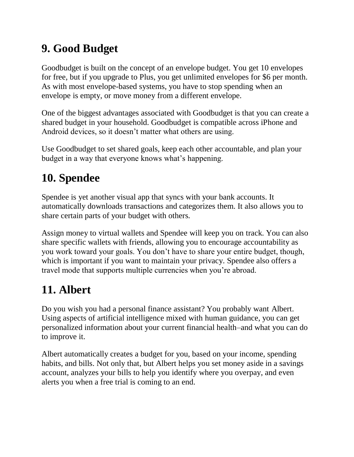## **9. Good Budget**

[Goodbudget](https://goodbudget.com/) is built on the concept of an envelope budget. You get 10 envelopes for free, but if you upgrade to Plus, you get unlimited envelopes for \$6 per month. As with most envelope-based systems, you have to stop spending when an envelope is empty, or move money from a different envelope.

One of the biggest advantages associated with Goodbudget is that you can create a shared budget in your household. Goodbudget is compatible across iPhone and Android devices, so it doesn't matter what others are using.

Use Goodbudget to set shared goals, keep each other accountable, and plan your budget in a way that everyone knows what's happening.

## **10. Spendee**

[Spendee](https://www.spendee.com/) is yet another visual app that syncs with your bank accounts. It automatically downloads transactions and categorizes them. It also allows you to share certain parts of your budget with others.

Assign money to virtual wallets and Spendee will keep you on track. You can also share specific wallets with friends, allowing you to encourage accountability as you work toward your goals. You don't have to share your entire budget, though, which is important if you want to maintain your privacy. Spendee also offers a travel mode that supports multiple currencies when you're abroad.

## **11. Albert**

Do you wish you had a personal finance assistant? You probably want [Albert.](https://albert.com/) Using aspects of artificial intelligence mixed with human guidance, you can get personalized information about your current financial health–and what you can do to improve it.

Albert automatically creates a budget for you, based on your income, spending habits, and bills. Not only that, but Albert helps you set money aside in a savings account, analyzes your bills to help you identify where you overpay, and even alerts you when a free trial is coming to an end.